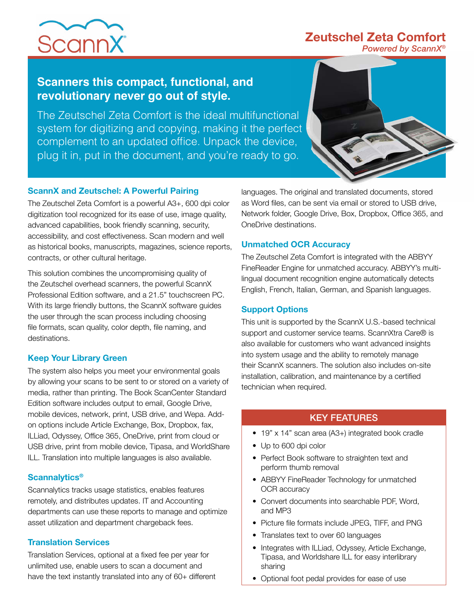# **Zeutschel Zeta Comfort**



*Powered by ScannX®*

### **Scanners this compact, functional, and revolutionary never go out of style.**

The Zeutschel Zeta Comfort is the ideal multifunctional system for digitizing and copying, making it the perfect complement to an updated office. Unpack the device, plug it in, put in the document, and you're ready to go.



#### **ScannX and Zeutschel: A Powerful Pairing**

The Zeutschel Zeta Comfort is a powerful A3+, 600 dpi color digitization tool recognized for its ease of use, image quality, advanced capabilities, book friendly scanning, security, accessibility, and cost effectiveness. Scan modern and well as historical books, manuscripts, magazines, science reports, contracts, or other cultural heritage.

This solution combines the uncompromising quality of the Zeutschel overhead scanners, the powerful ScannX Professional Edition software, and a 21.5" touchscreen PC. With its large friendly buttons, the ScannX software guides the user through the scan process including choosing file formats, scan quality, color depth, file naming, and destinations.

#### **Keep Your Library Green**

The system also helps you meet your environmental goals by allowing your scans to be sent to or stored on a variety of media, rather than printing. The Book ScanCenter Standard Edition software includes output to email, Google Drive, mobile devices, network, print, USB drive, and Wepa. Addon options include Article Exchange, Box, Dropbox, fax, ILLiad, Odyssey, Office 365, OneDrive, print from cloud or USB drive, print from mobile device, Tipasa, and WorldShare ILL. Translation into multiple languages is also available.

#### **Scannalytics®**

Scannalytics tracks usage statistics, enables features remotely, and distributes updates. IT and Accounting departments can use these reports to manage and optimize asset utilization and department chargeback fees.

#### **Translation Services**

Translation Services, optional at a fixed fee per year for unlimited use, enable users to scan a document and have the text instantly translated into any of 60+ different

languages. The original and translated documents, stored as Word files, can be sent via email or stored to USB drive, Network folder, Google Drive, Box, Dropbox, Office 365, and OneDrive destinations.

#### **Unmatched OCR Accuracy**

The Zeutschel Zeta Comfort is integrated with the ABBYY FineReader Engine for unmatched accuracy. ABBYY's multilingual document recognition engine automatically detects English, French, Italian, German, and Spanish languages.

#### **Support Options**

This unit is supported by the ScannX U.S.-based technical support and customer service teams. ScannXtra Care® is also available for customers who want advanced insights into system usage and the ability to remotely manage their ScannX scanners. The solution also includes on-site installation, calibration, and maintenance by a certified technician when required.

### KEY FEATURES

- 19" x 14" scan area (A3+) integrated book cradle
- Up to 600 dpi color
- Perfect Book software to straighten text and perform thumb removal
- ABBYY FineReader Technology for unmatched OCR accuracy
- Convert documents into searchable PDF, Word, and MP3
- Picture file formats include JPEG, TIFF, and PNG
- Translates text to over 60 languages
- Integrates with ILLiad, Odyssey, Article Exchange, Tipasa, and Worldshare ILL for easy interlibrary sharing
- Optional foot pedal provides for ease of use